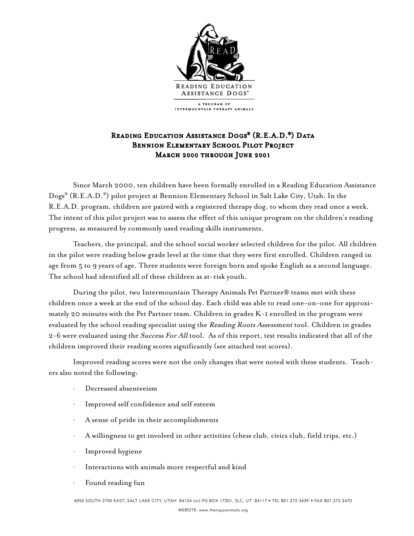

## READING EDUCATION ASSISTANCE DOGS® (R.E.A.D.®) DATA Bennion Elementary School Pilot Project March 2000 through June 2001

Since March 2000, ten children have been formally enrolled in a Reading Education Assistance Dogs® (R.E.A.D.®) pilot project at Bennion Elementary School in Salt Lake City, Utah. In the R.E.A.D. program, children are paired with a registered therapy dog, to whom they read once a week. The intent of this pilot project was to assess the effect of this unique program on the children's reading progress, as measured by commonly used reading skills instruments.

Teachers, the principal, and the school social worker selected children for the pilot. All children in the pilot were reading below grade level at the time that they were first enrolled. Children ranged in age from 5 to 9 years of age. Three students were foreign born and spoke English as a second language. The school had identified all of these children as at-risk youth.

During the pilot, two Intermountain Therapy Animals Pet Partner® teams met with these children once a week at the end of the school day. Each child was able to read one-on-one for approximately 20 minutes with the Pet Partner team. Children in grades K-1 enrolled in the program were evaluated by the school reading specialist using the Reading Roots Assessment tool. Children in grades 2-6 were evaluated using the Success For All tool. As of this report, test results indicated that all of the children improved their reading scores significantly (see attached test scores).

Improved reading scores were not the only changes that were noted with these students. Teachers also noted the following:

- Decreased absenteeism
- Improved self confidence and self esteem
- · A sense of pride in their accomplishments
- · A willingness to get involved in other activities (chess club, civics club, field trips, etc.)
- · Improved hygiene
- Interactions with animals more respectful and kind
- Found reading fun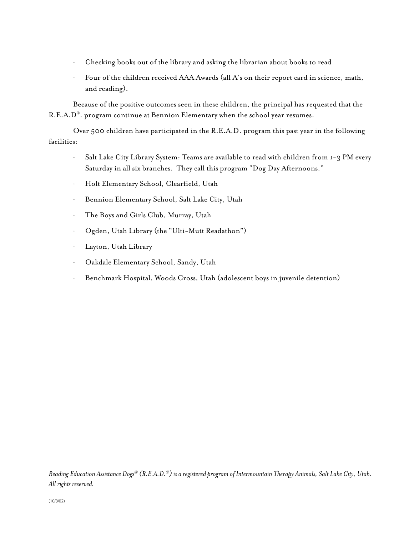- · Checking books out of the library and asking the librarian about books to read
- · Four of the children received AAA Awards (all A's on their report card in science, math, and reading).

Because of the positive outcomes seen in these children, the principal has requested that the R.E.A.D®. program continue at Bennion Elementary when the school year resumes.

Over 500 children have participated in the R.E.A.D. program this past year in the following facilities:

- · Salt Lake City Library System: Teams are available to read with children from 1-3 PM every Saturday in all six branches. They call this program "Dog Day Afternoons."
- · Holt Elementary School, Clearfield, Utah
- · Bennion Elementary School, Salt Lake City, Utah
- · The Boys and Girls Club, Murray, Utah
- · Ogden, Utah Library (the "Ulti-Mutt Readathon")
- · Layton, Utah Library
- · Oakdale Elementary School, Sandy, Utah
- · Benchmark Hospital, Woods Cross, Utah (adolescent boys in juvenile detention)